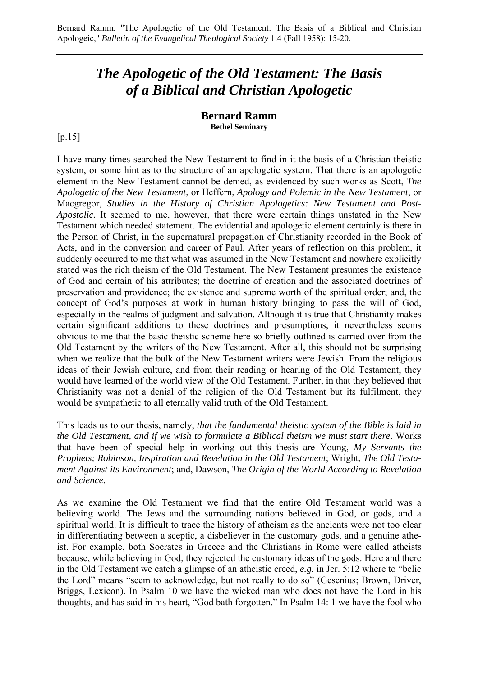# *The Apologetic of the Old Testament: The Basis of a Biblical and Christian Apologetic*

#### **Bernard Ramm Bethel Seminary**

 $[p.15]$ 

I have many times searched the New Testament to find in it the basis of a Christian theistic system, or some hint as to the structure of an apologetic system. That there is an apologetic element in the New Testament cannot be denied, as evidenced by such works as Scott, *The Apologetic of the New Testament*, or Heffern, *Apology and Polemic in the New Testament*, or Macgregor, *Studies in the History of Christian Apologetics: New Testament and Post-Apostolic.* It seemed to me, however, that there were certain things unstated in the New Testament which needed statement. The evidential and apologetic element certainly is there in the Person of Christ, in the supernatural propagation of Christianity recorded in the Book of Acts, and in the conversion and career of Paul. After years of reflection on this problem, it suddenly occurred to me that what was assumed in the New Testament and nowhere explicitly stated was the rich theism of the Old Testament. The New Testament presumes the existence of God and certain of his attributes; the doctrine of creation and the associated doctrines of preservation and providence; the existence and supreme worth of the spiritual order; and, the concept of God's purposes at work in human history bringing to pass the will of God, especially in the realms of judgment and salvation. Although it is true that Christianity makes certain significant additions to these doctrines and presumptions, it nevertheless seems obvious to me that the basic theistic scheme here so briefly outlined is carried over from the Old Testament by the writers of the New Testament. After all, this should not be surprising when we realize that the bulk of the New Testament writers were Jewish. From the religious ideas of their Jewish culture, and from their reading or hearing of the Old Testament, they would have learned of the world view of the Old Testament. Further, in that they believed that Christianity was not a denial of the religion of the Old Testament but its fulfilment, they would be sympathetic to all eternally valid truth of the Old Testament.

This leads us to our thesis, namely, *that the fundamental theistic system of the Bible is laid in the Old Testament, and if we wish to formulate a Biblical theism we must start there*. Works that have been of special help in working out this thesis are Young, *My Servants the Prophets; Robinson, Inspiration and Revelation in the Old Testament*; Wright, *The Old Testament Against its Environment*; and, Dawson, *The Origin of the World According to Revelation and Science*.

As we examine the Old Testament we find that the entire Old Testament world was a believing world. The Jews and the surrounding nations believed in God, or gods, and a spiritual world. It is difficult to trace the history of atheism as the ancients were not too clear in differentiating between a sceptic, a disbeliever in the customary gods, and a genuine atheist. For example, both Socrates in Greece and the Christians in Rome were called atheists because, while believing in God, they rejected the customary ideas of the gods. Here and there in the Old Testament we catch a glimpse of an atheistic creed, *e.g.* in Jer. 5:12 where to "belie the Lord" means "seem to acknowledge, but not really to do so" (Gesenius; Brown, Driver, Briggs, Lexicon). In Psalm 10 we have the wicked man who does not have the Lord in his thoughts, and has said in his heart, "God bath forgotten." In Psalm 14: 1 we have the fool who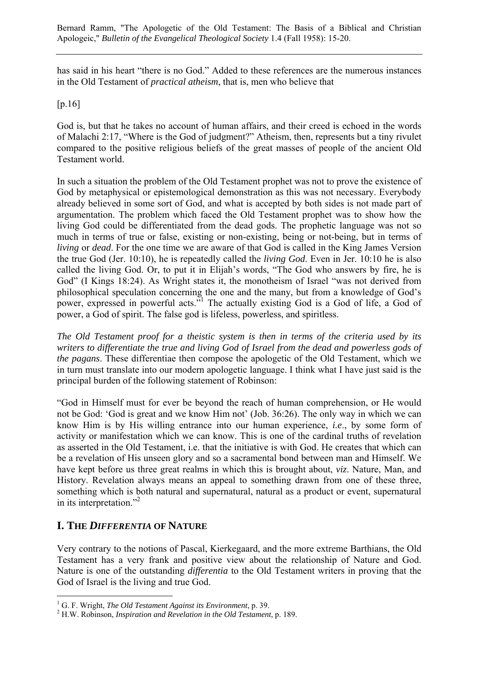has said in his heart "there is no God." Added to these references are the numerous instances in the Old Testament of *practical atheism*, that is, men who believe that

[p.16]

God is, but that he takes no account of human affairs, and their creed is echoed in the words of Malachi 2:17, "Where is the God of judgment?" Atheism, then, represents but a tiny rivulet compared to the positive religious beliefs of the great masses of people of the ancient Old Testament world.

In such a situation the problem of the Old Testament prophet was not to prove the existence of God by metaphysical or epistemological demonstration as this was not necessary. Everybody already believed in some sort of God, and what is accepted by both sides is not made part of argumentation. The problem which faced the Old Testament prophet was to show how the living God could be differentiated from the dead gods. The prophetic language was not so much in terms of true or false, existing or non-existing, being or not-being, but in terms of *living* or *dead*. For the one time we are aware of that God is called in the King James Version the true God (Jer. 10:10), he is repeatedly called the *living God*. Even in Jer. 10:10 he is also called the living God. Or, to put it in Elijah's words, "The God who answers by fire, he is God" (I Kings 18:24). As Wright states it, the monotheism of Israel "was not derived from philosophical speculation concerning the one and the many, but from a knowledge of God's power, expressed in powerful acts."<sup>1</sup> The actually existing God is a God of life, a God of power, a God of spirit. The false god is lifeless, powerless, and spiritless.

*The Old Testament proof for a theistic system is then in terms of the criteria used by its writers to differentiate the true and living God of Israel from the dead and powerless gods of the pagans*. These differentiae then compose the apologetic of the Old Testament, which we in turn must translate into our modern apologetic language. I think what I have just said is the principal burden of the following statement of Robinson:

"God in Himself must for ever be beyond the reach of human comprehension, or He would not be God: 'God is great and we know Him not' (Job. 36:26). The only way in which we can know Him is by His willing entrance into our human experience, *i.e*., by some form of activity or manifestation which we can know. This is one of the cardinal truths of revelation as asserted in the Old Testament, i.e. that the initiative is with God. He creates that which can be a revelation of His unseen glory and so a sacramental bond between man and Himself. We have kept before us three great realms in which this is brought about, *viz*. Nature, Man, and History. Revelation always means an appeal to something drawn from one of these three, something which is both natural and supernatural, natural as a product or event, supernatural in its interpretation."<sup>2</sup>

## **I. THE** *DIFFERENTIA* **OF NATURE**

Very contrary to the notions of Pascal, Kierkegaard, and the more extreme Barthians, the Old Testament has a very frank and positive view about the relationship of Nature and God. Nature is one of the outstanding *differentia* to the Old Testament writers in proving that the God of Israel is the living and true God.

 $\overline{a}$ <sup>1</sup> G. F. Wright, *The Old Testament Against its Environment*, p. 39.<br><sup>2</sup> H W. Bobinson, Inspiration and Pavelation in the Old Testament.

H.W. Robinson, *Inspiration and Revelation in the Old Testament*, p. 189.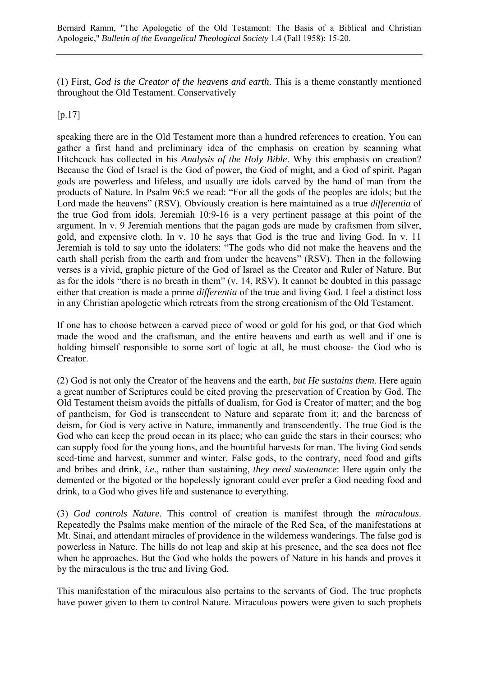(1) First, *God is the Creator of the heavens and earth*. This is a theme constantly mentioned throughout the Old Testament. Conservatively

[p.17]

speaking there are in the Old Testament more than a hundred references to creation. You can gather a first hand and preliminary idea of the emphasis on creation by scanning what Hitchcock has collected in his *Analysis of the Holy Bible*. Why this emphasis on creation? Because the God of Israel is the God of power, the God of might, and a God of spirit. Pagan gods are powerless and lifeless, and usually are idols carved by the hand of man from the products of Nature. In Psalm 96:5 we read: "For all the gods of the peoples are idols; but the Lord made the heavens" (RSV). Obviously creation is here maintained as a true *differentia* of the true God from idols. Jeremiah 10:9-16 is a very pertinent passage at this point of the argument. In v. 9 Jeremiah mentions that the pagan gods are made by craftsmen from silver, gold, and expensive cloth. In v. 10 he says that God is the true and living God. In v. 11 Jeremiah is told to say unto the idolaters: "The gods who did not make the heavens and the earth shall perish from the earth and from under the heavens" (RSV). Then in the following verses is a vivid, graphic picture of the God of Israel as the Creator and Ruler of Nature. But as for the idols "there is no breath in them" (v. 14, RSV). It cannot be doubted in this passage either that creation is made a prime *differentia* of the true and living God. I feel a distinct loss in any Christian apologetic which retreats from the strong creationism of the Old Testament.

If one has to choose between a carved piece of wood or gold for his god, or that God which made the wood and the craftsman, and the entire heavens and earth as well and if one is holding himself responsible to some sort of logic at all, he must choose- the God who is Creator.

(2) God is not only the Creator of the heavens and the earth, *but He sustains them*. Here again a great number of Scriptures could be cited proving the preservation of Creation by God. The Old Testament theism avoids the pitfalls of dualism, for God is Creator of matter; and the bog of pantheism, for God is transcendent to Nature and separate from it; and the bareness of deism, for God is very active in Nature, immanently and transcendently. The true God is the God who can keep the proud ocean in its place; who can guide the stars in their courses; who can supply food for the young lions, and the bountiful harvests for man. The living God sends seed-time and harvest, summer and winter. False gods, to the contrary, need food and gifts and bribes and drink, *i.e*., rather than sustaining, *they need sustenance*: Here again only the demented or the bigoted or the hopelessly ignorant could ever prefer a God needing food and drink, to a God who gives life and sustenance to everything.

(3) *God controls Nature*. This control of creation is manifest through the *miraculous*. Repeatedly the Psalms make mention of the miracle of the Red Sea, of the manifestations at Mt. Sinai, and attendant miracles of providence in the wilderness wanderings. The false god is powerless in Nature. The hills do not leap and skip at his presence, and the sea does not flee when he approaches. But the God who holds the powers of Nature in his hands and proves it by the miraculous is the true and living God.

This manifestation of the miraculous also pertains to the servants of God. The true prophets have power given to them to control Nature. Miraculous powers were given to such prophets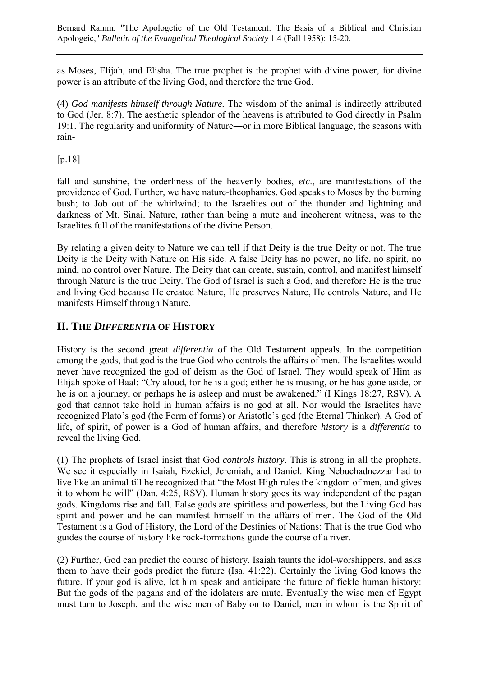as Moses, Elijah, and Elisha. The true prophet is the prophet with divine power, for divine power is an attribute of the living God, and therefore the true God.

(4) *God manifests himself through Nature*. The wisdom of the animal is indirectly attributed to God (Jer. 8:7). The aesthetic splendor of the heavens is attributed to God directly in Psalm 19:1. The regularity and uniformity of Nature―or in more Biblical language, the seasons with rain-

[p.18]

fall and sunshine, the orderliness of the heavenly bodies, *etc*., are manifestations of the providence of God. Further, we have nature-theophanies. God speaks to Moses by the burning bush; to Job out of the whirlwind; to the Israelites out of the thunder and lightning and darkness of Mt. Sinai. Nature, rather than being a mute and incoherent witness, was to the Israelites full of the manifestations of the divine Person.

By relating a given deity to Nature we can tell if that Deity is the true Deity or not. The true Deity is the Deity with Nature on His side. A false Deity has no power, no life, no spirit, no mind, no control over Nature. The Deity that can create, sustain, control, and manifest himself through Nature is the true Deity. The God of Israel is such a God, and therefore He is the true and living God because He created Nature, He preserves Nature, He controls Nature, and He manifests Himself through Nature.

### **II. THE** *DIFFERENTIA* **OF HISTORY**

History is the second great *differentia* of the Old Testament appeals. In the competition among the gods, that god is the true God who controls the affairs of men. The Israelites would never have recognized the god of deism as the God of Israel. They would speak of Him as Elijah spoke of Baal: "Cry aloud, for he is a god; either he is musing, or he has gone aside, or he is on a journey, or perhaps he is asleep and must be awakened." (I Kings 18:27, RSV). A god that cannot take hold in human affairs is no god at all. Nor would the Israelites have recognized Plato's god (the Form of forms) or Aristotle's god (the Eternal Thinker). A God of life, of spirit, of power is a God of human affairs, and therefore *history* is a *differentia* to reveal the living God.

(1) The prophets of Israel insist that God *controls history*. This is strong in all the prophets. We see it especially in Isaiah, Ezekiel, Jeremiah, and Daniel. King Nebuchadnezzar had to live like an animal till he recognized that "the Most High rules the kingdom of men, and gives it to whom he will" (Dan. 4:25, RSV). Human history goes its way independent of the pagan gods. Kingdoms rise and fall. False gods are spiritless and powerless, but the Living God has spirit and power and he can manifest himself in the affairs of men. The God of the Old Testament is a God of History, the Lord of the Destinies of Nations: That is the true God who guides the course of history like rock-formations guide the course of a river.

(2) Further, God can predict the course of history. Isaiah taunts the idol-worshippers, and asks them to have their gods predict the future (Isa. 41:22). Certainly the living God knows the future. If your god is alive, let him speak and anticipate the future of fickle human history: But the gods of the pagans and of the idolaters are mute. Eventually the wise men of Egypt must turn to Joseph, and the wise men of Babylon to Daniel, men in whom is the Spirit of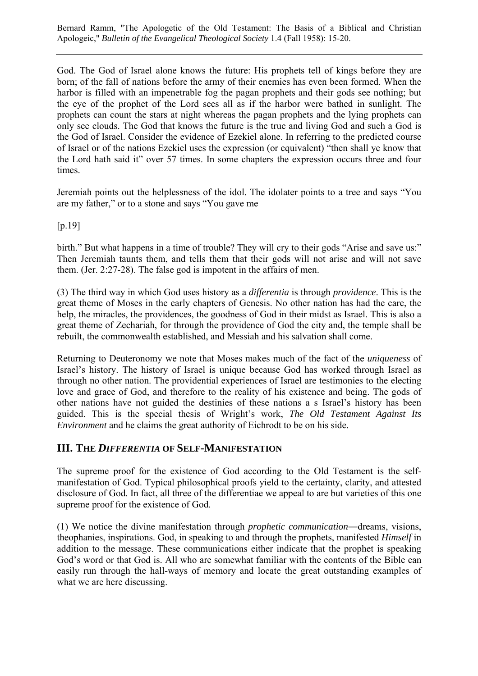God. The God of Israel alone knows the future: His prophets tell of kings before they are born; of the fall of nations before the army of their enemies has even been formed. When the harbor is filled with an impenetrable fog the pagan prophets and their gods see nothing; but the eye of the prophet of the Lord sees all as if the harbor were bathed in sunlight. The prophets can count the stars at night whereas the pagan prophets and the lying prophets can only see clouds. The God that knows the future is the true and living God and such a God is the God of Israel. Consider the evidence of Ezekiel alone. In referring to the predicted course of Israel or of the nations Ezekiel uses the expression (or equivalent) "then shall ye know that the Lord hath said it" over 57 times. In some chapters the expression occurs three and four times.

Jeremiah points out the helplessness of the idol. The idolater points to a tree and says "You are my father," or to a stone and says "You gave me

[p.19]

birth." But what happens in a time of trouble? They will cry to their gods "Arise and save us:" Then Jeremiah taunts them, and tells them that their gods will not arise and will not save them. (Jer. 2:27-28). The false god is impotent in the affairs of men.

(3) The third way in which God uses history as a *differentia* is through *providence*. This is the great theme of Moses in the early chapters of Genesis. No other nation has had the care, the help, the miracles, the providences, the goodness of God in their midst as Israel. This is also a great theme of Zechariah, for through the providence of God the city and, the temple shall be rebuilt, the commonwealth established, and Messiah and his salvation shall come.

Returning to Deuteronomy we note that Moses makes much of the fact of the *uniqueness* of Israel's history. The history of Israel is unique because God has worked through Israel as through no other nation. The providential experiences of Israel are testimonies to the electing love and grace of God, and therefore to the reality of his existence and being. The gods of other nations have not guided the destinies of these nations a s Israel's history has been guided. This is the special thesis of Wright's work, *The Old Testament Against Its Environment* and he claims the great authority of Eichrodt to be on his side.

### **III. THE** *DIFFERENTIA* **OF SELF-MANIFESTATION**

The supreme proof for the existence of God according to the Old Testament is the selfmanifestation of God. Typical philosophical proofs yield to the certainty, clarity, and attested disclosure of God. In fact, all three of the differentiae we appeal to are but varieties of this one supreme proof for the existence of God.

(1) We notice the divine manifestation through *prophetic communication*―dreams, visions, theophanies, inspirations. God, in speaking to and through the prophets, manifested *Himself* in addition to the message. These communications either indicate that the prophet is speaking God's word or that God is. All who are somewhat familiar with the contents of the Bible can easily run through the hall-ways of memory and locate the great outstanding examples of what we are here discussing.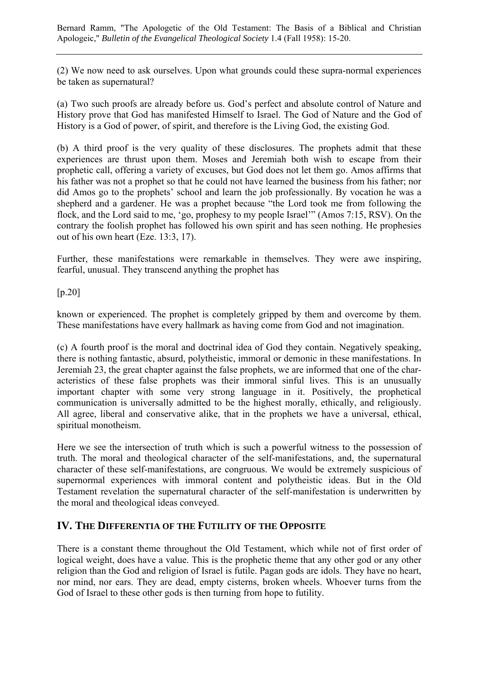(2) We now need to ask ourselves. Upon what grounds could these supra-normal experiences be taken as supernatural?

(a) Two such proofs are already before us. God's perfect and absolute control of Nature and History prove that God has manifested Himself to Israel. The God of Nature and the God of History is a God of power, of spirit, and therefore is the Living God, the existing God.

(b) A third proof is the very quality of these disclosures. The prophets admit that these experiences are thrust upon them. Moses and Jeremiah both wish to escape from their prophetic call, offering a variety of excuses, but God does not let them go. Amos affirms that his father was not a prophet so that he could not have learned the business from his father; nor did Amos go to the prophets' school and learn the job professionally. By vocation he was a shepherd and a gardener. He was a prophet because "the Lord took me from following the flock, and the Lord said to me, 'go, prophesy to my people Israel'" (Amos 7:15, RSV). On the contrary the foolish prophet has followed his own spirit and has seen nothing. He prophesies out of his own heart (Eze. 13:3, 17).

Further, these manifestations were remarkable in themselves. They were awe inspiring, fearful, unusual. They transcend anything the prophet has

[p.20]

known or experienced. The prophet is completely gripped by them and overcome by them. These manifestations have every hallmark as having come from God and not imagination.

(c) A fourth proof is the moral and doctrinal idea of God they contain. Negatively speaking, there is nothing fantastic, absurd, polytheistic, immoral or demonic in these manifestations. In Jeremiah 23, the great chapter against the false prophets, we are informed that one of the characteristics of these false prophets was their immoral sinful lives. This is an unusually important chapter with some very strong language in it. Positively, the prophetical communication is universally admitted to be the highest morally, ethically, and religiously. All agree, liberal and conservative alike, that in the prophets we have a universal, ethical, spiritual monotheism.

Here we see the intersection of truth which is such a powerful witness to the possession of truth. The moral and theological character of the self-manifestations, and, the supernatural character of these self-manifestations, are congruous. We would be extremely suspicious of supernormal experiences with immoral content and polytheistic ideas. But in the Old Testament revelation the supernatural character of the self-manifestation is underwritten by the moral and theological ideas conveyed.

#### **IV. THE DIFFERENTIA OF THE FUTILITY OF THE OPPOSITE**

There is a constant theme throughout the Old Testament, which while not of first order of logical weight, does have a value. This is the prophetic theme that any other god or any other religion than the God and religion of Israel is futile. Pagan gods are idols. They have no heart, nor mind, nor ears. They are dead, empty cisterns, broken wheels. Whoever turns from the God of Israel to these other gods is then turning from hope to futility.